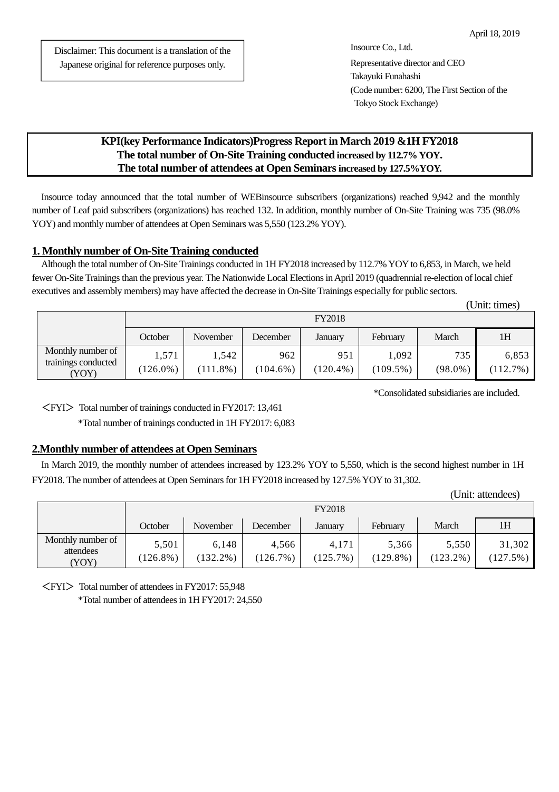Disclaimer: This document is a translation of the Japanese original for reference purposes only.

# **KPI(key Performance Indicators)Progress Report in March 2019 &1H FY2018 The total number of On-Site Training conducted increased by 112.7% YOY. The total number of attendees at Open Seminars increased by 127.5%YOY.**

Insource today announced that the total number of WEBinsource subscribers (organizations) reached 9,942 and the monthly number of Leaf paid subscribers (organizations) has reached 132. In addition, monthly number of On-Site Training was 735 (98.0% YOY) and monthly number of attendees at Open Seminars was 5,550 (123.2% YOY).

# **1. Monthly number of On-Site Training conducted**

Although the total number of On-Site Trainings conducted in 1H FY2018 increased by 112.7% YOY to 6,853, in March, we held fewer On-Site Trainings than the previous year. The Nationwide Local Elections in April 2019 (quadrennial re-election of local chief executives and assembly members) may have affected the decrease in On-Site Trainings especially for public sectors.

|                                                   |                      |                      |                    |                    |                      |                   | (Unit: times)     |  |
|---------------------------------------------------|----------------------|----------------------|--------------------|--------------------|----------------------|-------------------|-------------------|--|
|                                                   | <b>FY2018</b>        |                      |                    |                    |                      |                   |                   |  |
|                                                   | October              | November             | December           | January            | February             | March             | 1H                |  |
| Monthly number of<br>trainings conducted<br>(YOY) | 1,571<br>$(126.0\%)$ | 1,542<br>$(111.8\%)$ | 962<br>$(104.6\%)$ | 951<br>$(120.4\%)$ | 1,092<br>$(109.5\%)$ | 735<br>$(98.0\%)$ | 6,853<br>(112.7%) |  |

\*Consolidated subsidiaries are included.

<FYI> Total number of trainings conducted in FY2017: 13,461

\*Total number of trainings conducted in 1H FY2017: 6,083

#### **2.Monthly number of attendees at Open Seminars**

In March 2019, the monthly number of attendees increased by 123.2% YOY to 5,550, which is the second highest number in 1H FY2018. The number of attendees at Open Seminars for 1H FY2018 increased by 127.5% YOY to 31,302.

(Unit: attendees)

|                                        | <b>FY2018</b>        |                      |                   |                   |                      |                      |                    |
|----------------------------------------|----------------------|----------------------|-------------------|-------------------|----------------------|----------------------|--------------------|
|                                        | October              | November             | December          | January           | Februarv             | March                | 1H                 |
| Monthly number of<br>attendees<br>YOY) | 5,501<br>$(126.8\%)$ | 6,148<br>$(132.2\%)$ | 4.566<br>(126.7%) | 4.171<br>(125.7%) | 5,366<br>$(129.8\%)$ | 5,550<br>$(123.2\%)$ | 31,302<br>(127.5%) |

<FYI> Total number of attendees in FY2017: 55,948 \*Total number of attendees in 1H FY2017: 24,550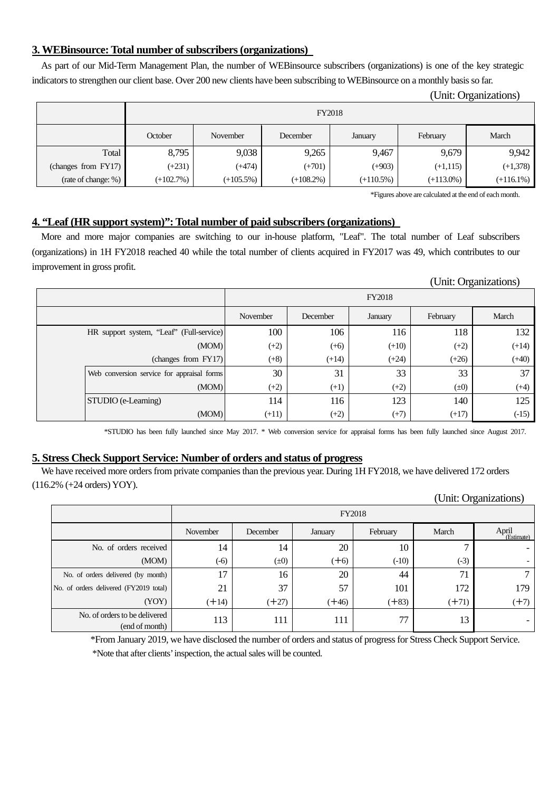# **3. WEBinsource: Total number of subscribers (organizations)**

As part of our Mid-Term Management Plan, the number of WEBinsource subscribers (organizations) is one of the key strategic indicators to strengthen our client base. Over 200 new clients have been subscribing to WEBinsource on a monthly basis so far.

|                     |               |              |              |              |              | (Unit: Organizations) |
|---------------------|---------------|--------------|--------------|--------------|--------------|-----------------------|
|                     | <b>FY2018</b> |              |              |              |              |                       |
|                     | October       | November     | December     | January      | February     | March                 |
| Total               | 8,795         | 9,038        | 9,265        | 9,467        | 9,679        | 9,942                 |
| (changes from FY17) | $(+231)$      | (+474)       | $(+701)$     | $(+903)$     | $(+1, 115)$  | $(+1,378)$            |
| (rate of change: %) | $(+102.7%)$   | $(+105.5\%)$ | $(+108.2\%)$ | $(+110.5\%)$ | $(+113.0\%)$ | $(+116.1\%)$          |

\*Figures above are calculated at the end of each month.

# **4. "Leaf (HR support system)": Total number of paid subscribers (organizations)**

More and more major companies are switching to our in-house platform, "Leaf". The total number of Leaf subscribers (organizations) in 1H FY2018 reached 40 while the total number of clients acquired in FY2017 was 49, which contributes to our improvement in gross profit.

|                                            |               |          |         |           | UIIII. UIganizations |  |
|--------------------------------------------|---------------|----------|---------|-----------|----------------------|--|
|                                            | <b>FY2018</b> |          |         |           |                      |  |
|                                            | November      | December | January | February  | March                |  |
| HR support system, "Leaf" (Full-service)   | 100           | 106      | 116     | 118       | 132                  |  |
| (MOM)                                      | $(+2)$        | $(+6)$   | $(+10)$ | $(+2)$    | $(+14)$              |  |
| (changes from FY17)                        | $(+8)$        | $(+14)$  | $(+24)$ | $(+26)$   | $(+40)$              |  |
| Web conversion service for appraisal forms | 30            | 31       | 33      | 33        | 37                   |  |
| (MOM)                                      | $(+2)$        | $(+1)$   | $(+2)$  | $(\pm 0)$ | $(+4)$               |  |
| <b>STUDIO</b> (e-Learning)                 | 114           | 116      | 123     | 140       | 125                  |  |
| (MOM)                                      | $(+11)$       | $(+2)$   | $(+7)$  | $(+17)$   | $(-15)$              |  |

\*STUDIO has been fully launched since May 2017. \* Web conversion service for appraisal forms has been fully launched since August 2017.

# **5. Stress Check Support Service: Number of orders and status of progress**

We have received more orders from private companies than the previous year. During 1H FY2018, we have delivered 172 orders (116.2% (+24 orders) YOY).

|                                                 | <b>FY2018</b> |           |         |          |         |                     |
|-------------------------------------------------|---------------|-----------|---------|----------|---------|---------------------|
|                                                 | November      | December  | January | February | March   | April<br>(Estimate) |
| No. of orders received                          | 14            | 14        | 20      | 10       | ⇁       |                     |
| (MOM)                                           | $(-6)$        | $(\pm 0)$ | $(+6)$  | $(-10)$  | $(-3)$  |                     |
| No. of orders delivered (by month)              | 17            | 16        | 20      | 44       | 71      |                     |
| No. of orders delivered (FY2019 total)          | 21            | 37        | 57      | 101      | 172     | 179                 |
| (YOY)                                           | $(+14)$       | $(+27)$   | $(+46)$ | $(+83)$  | $(+71)$ | $(+7)$              |
| No. of orders to be delivered<br>(end of month) | 113           | 111       | 111     | 77       | 13      |                     |

\*From January 2019, we have disclosed the number of orders and status of progress for Stress Check Support Service. \*Note that after clients' inspection, the actual sales will be counted.

| (Unit: Organizations) |  |  |
|-----------------------|--|--|
|                       |  |  |

(Unit: Organizations)